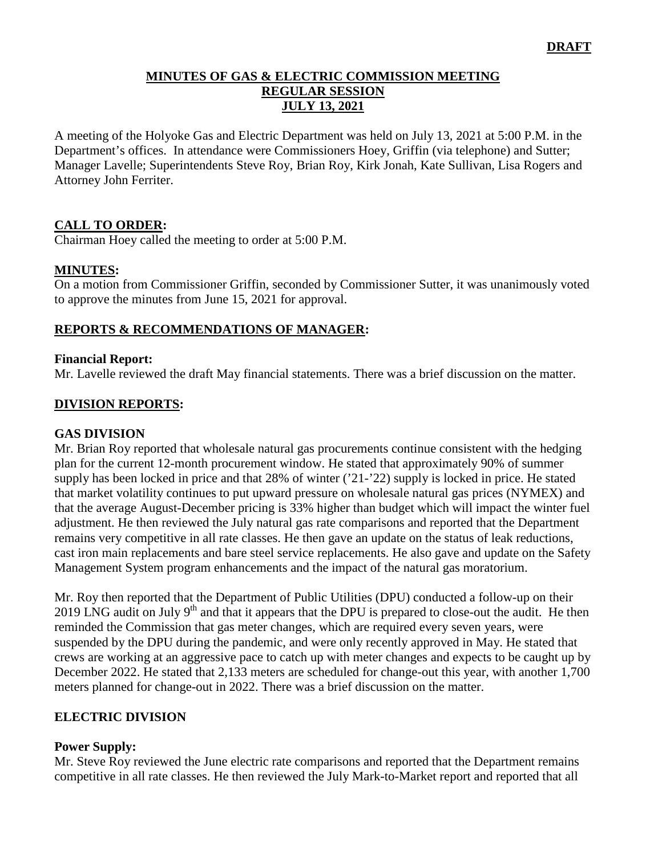### **MINUTES OF GAS & ELECTRIC COMMISSION MEETING REGULAR SESSION JULY 13, 2021**

A meeting of the Holyoke Gas and Electric Department was held on July 13, 2021 at 5:00 P.M. in the Department's offices. In attendance were Commissioners Hoey, Griffin (via telephone) and Sutter; Manager Lavelle; Superintendents Steve Roy, Brian Roy, Kirk Jonah, Kate Sullivan, Lisa Rogers and Attorney John Ferriter.

## **CALL TO ORDER:**

Chairman Hoey called the meeting to order at 5:00 P.M.

#### **MINUTES:**

On a motion from Commissioner Griffin, seconded by Commissioner Sutter, it was unanimously voted to approve the minutes from June 15, 2021 for approval.

### **REPORTS & RECOMMENDATIONS OF MANAGER:**

#### **Financial Report:**

Mr. Lavelle reviewed the draft May financial statements. There was a brief discussion on the matter.

#### **DIVISION REPORTS:**

#### **GAS DIVISION**

Mr. Brian Roy reported that wholesale natural gas procurements continue consistent with the hedging plan for the current 12-month procurement window. He stated that approximately 90% of summer supply has been locked in price and that 28% of winter ('21-'22) supply is locked in price. He stated that market volatility continues to put upward pressure on wholesale natural gas prices (NYMEX) and that the average August-December pricing is 33% higher than budget which will impact the winter fuel adjustment. He then reviewed the July natural gas rate comparisons and reported that the Department remains very competitive in all rate classes. He then gave an update on the status of leak reductions, cast iron main replacements and bare steel service replacements. He also gave and update on the Safety Management System program enhancements and the impact of the natural gas moratorium.

Mr. Roy then reported that the Department of Public Utilities (DPU) conducted a follow-up on their 2019 LNG audit on July  $9<sup>th</sup>$  and that it appears that the DPU is prepared to close-out the audit. He then reminded the Commission that gas meter changes, which are required every seven years, were suspended by the DPU during the pandemic, and were only recently approved in May. He stated that crews are working at an aggressive pace to catch up with meter changes and expects to be caught up by December 2022. He stated that 2,133 meters are scheduled for change-out this year, with another 1,700 meters planned for change-out in 2022. There was a brief discussion on the matter.

#### **ELECTRIC DIVISION**

#### **Power Supply:**

Mr. Steve Roy reviewed the June electric rate comparisons and reported that the Department remains competitive in all rate classes. He then reviewed the July Mark-to-Market report and reported that all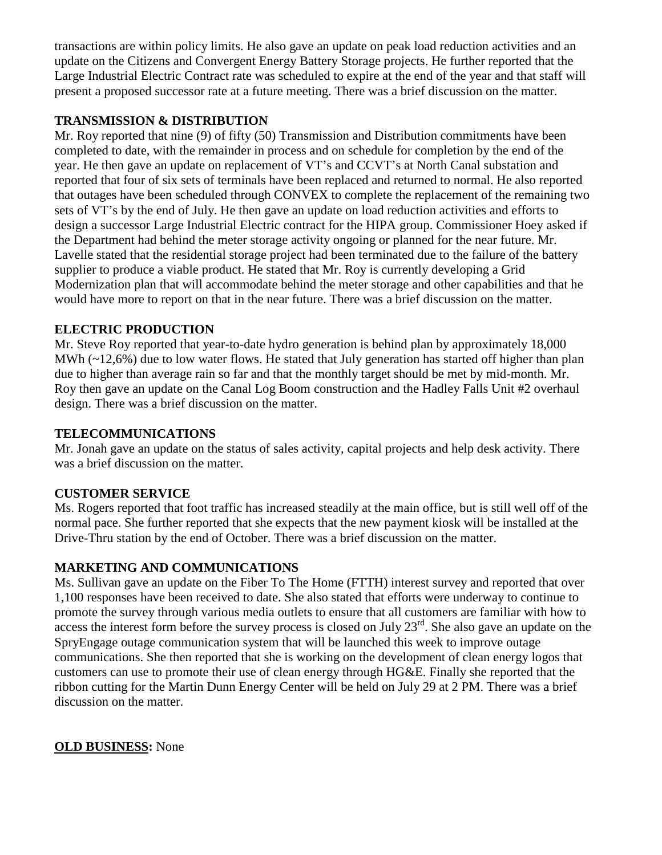transactions are within policy limits. He also gave an update on peak load reduction activities and an update on the Citizens and Convergent Energy Battery Storage projects. He further reported that the Large Industrial Electric Contract rate was scheduled to expire at the end of the year and that staff will present a proposed successor rate at a future meeting. There was a brief discussion on the matter.

# **TRANSMISSION & DISTRIBUTION**

Mr. Roy reported that nine (9) of fifty (50) Transmission and Distribution commitments have been completed to date, with the remainder in process and on schedule for completion by the end of the year. He then gave an update on replacement of VT's and CCVT's at North Canal substation and reported that four of six sets of terminals have been replaced and returned to normal. He also reported that outages have been scheduled through CONVEX to complete the replacement of the remaining two sets of VT's by the end of July. He then gave an update on load reduction activities and efforts to design a successor Large Industrial Electric contract for the HIPA group. Commissioner Hoey asked if the Department had behind the meter storage activity ongoing or planned for the near future. Mr. Lavelle stated that the residential storage project had been terminated due to the failure of the battery supplier to produce a viable product. He stated that Mr. Roy is currently developing a Grid Modernization plan that will accommodate behind the meter storage and other capabilities and that he would have more to report on that in the near future. There was a brief discussion on the matter.

## **ELECTRIC PRODUCTION**

Mr. Steve Roy reported that year-to-date hydro generation is behind plan by approximately 18,000 MWh (~12,6%) due to low water flows. He stated that July generation has started off higher than plan due to higher than average rain so far and that the monthly target should be met by mid-month. Mr. Roy then gave an update on the Canal Log Boom construction and the Hadley Falls Unit #2 overhaul design. There was a brief discussion on the matter.

### **TELECOMMUNICATIONS**

Mr. Jonah gave an update on the status of sales activity, capital projects and help desk activity. There was a brief discussion on the matter.

# **CUSTOMER SERVICE**

Ms. Rogers reported that foot traffic has increased steadily at the main office, but is still well off of the normal pace. She further reported that she expects that the new payment kiosk will be installed at the Drive-Thru station by the end of October. There was a brief discussion on the matter.

# **MARKETING AND COMMUNICATIONS**

Ms. Sullivan gave an update on the Fiber To The Home (FTTH) interest survey and reported that over 1,100 responses have been received to date. She also stated that efforts were underway to continue to promote the survey through various media outlets to ensure that all customers are familiar with how to access the interest form before the survey process is closed on July  $23<sup>rd</sup>$ . She also gave an update on the SpryEngage outage communication system that will be launched this week to improve outage communications. She then reported that she is working on the development of clean energy logos that customers can use to promote their use of clean energy through HG&E. Finally she reported that the ribbon cutting for the Martin Dunn Energy Center will be held on July 29 at 2 PM. There was a brief discussion on the matter.

### **OLD BUSINESS:** None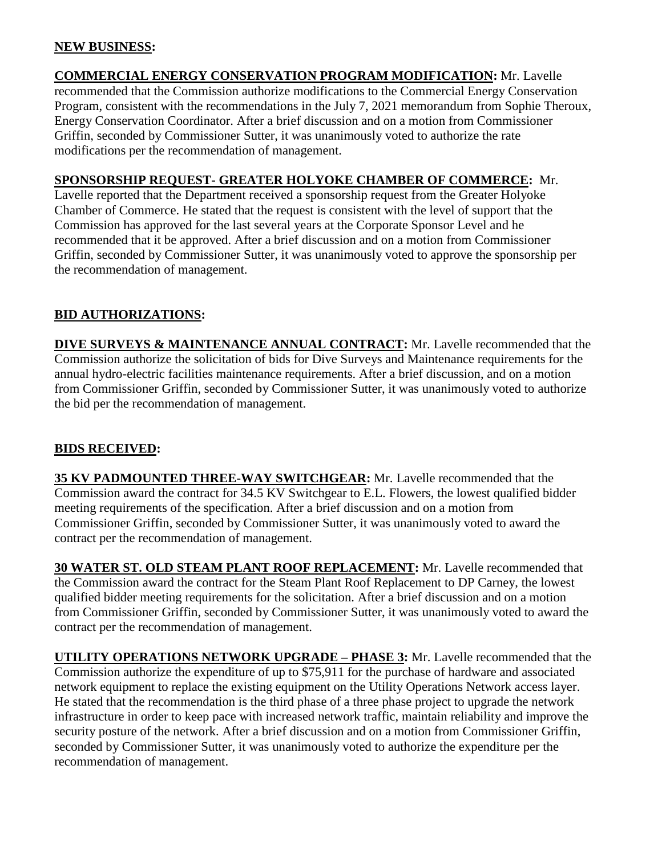### **NEW BUSINESS:**

**COMMERCIAL ENERGY CONSERVATION PROGRAM MODIFICATION:** Mr. Lavelle recommended that the Commission authorize modifications to the Commercial Energy Conservation Program, consistent with the recommendations in the July 7, 2021 memorandum from Sophie Theroux, Energy Conservation Coordinator. After a brief discussion and on a motion from Commissioner Griffin, seconded by Commissioner Sutter, it was unanimously voted to authorize the rate modifications per the recommendation of management.

### **SPONSORSHIP REQUEST- GREATER HOLYOKE CHAMBER OF COMMERCE:** Mr.

Lavelle reported that the Department received a sponsorship request from the Greater Holyoke Chamber of Commerce. He stated that the request is consistent with the level of support that the Commission has approved for the last several years at the Corporate Sponsor Level and he recommended that it be approved. After a brief discussion and on a motion from Commissioner Griffin, seconded by Commissioner Sutter, it was unanimously voted to approve the sponsorship per the recommendation of management.

## **BID AUTHORIZATIONS:**

**DIVE SURVEYS & MAINTENANCE ANNUAL CONTRACT:** Mr. Lavelle recommended that the Commission authorize the solicitation of bids for Dive Surveys and Maintenance requirements for the annual hydro-electric facilities maintenance requirements. After a brief discussion, and on a motion from Commissioner Griffin, seconded by Commissioner Sutter, it was unanimously voted to authorize the bid per the recommendation of management.

# **BIDS RECEIVED:**

**35 KV PADMOUNTED THREE-WAY SWITCHGEAR:** Mr. Lavelle recommended that the Commission award the contract for 34.5 KV Switchgear to E.L. Flowers, the lowest qualified bidder meeting requirements of the specification. After a brief discussion and on a motion from Commissioner Griffin, seconded by Commissioner Sutter, it was unanimously voted to award the contract per the recommendation of management.

**30 WATER ST. OLD STEAM PLANT ROOF REPLACEMENT:** Mr. Lavelle recommended that the Commission award the contract for the Steam Plant Roof Replacement to DP Carney, the lowest qualified bidder meeting requirements for the solicitation. After a brief discussion and on a motion from Commissioner Griffin, seconded by Commissioner Sutter, it was unanimously voted to award the contract per the recommendation of management.

**UTILITY OPERATIONS NETWORK UPGRADE – PHASE 3:** Mr. Lavelle recommended that the Commission authorize the expenditure of up to \$75,911 for the purchase of hardware and associated network equipment to replace the existing equipment on the Utility Operations Network access layer. He stated that the recommendation is the third phase of a three phase project to upgrade the network infrastructure in order to keep pace with increased network traffic, maintain reliability and improve the security posture of the network. After a brief discussion and on a motion from Commissioner Griffin, seconded by Commissioner Sutter, it was unanimously voted to authorize the expenditure per the recommendation of management.